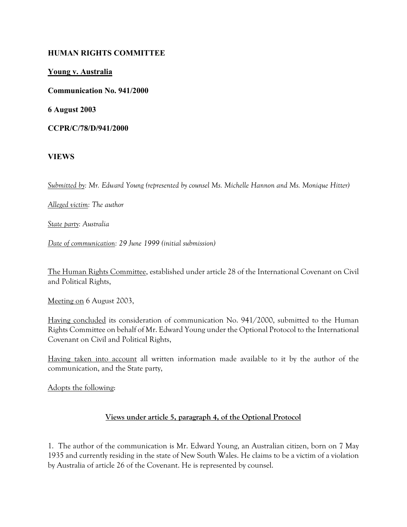# HUMAN RIGHTS COMMITTEE

### Young v. Australia

Communication No. 941/2000

6 August 2003

CCPR/C/78/D/941/2000

### VIEWS

Submitted by: Mr. Edward Young (represented by counsel Ms. Michelle Hannon and Ms. Monique Hitter)

Alleged victim: The author

State party: Australia

Date of communication: 29 June 1999 (initial submission)

The Human Rights Committee, established under article 28 of the International Covenant on Civil and Political Rights,

Meeting on 6 August 2003,

Having concluded its consideration of communication No. 941/2000, submitted to the Human Rights Committee on behalf of Mr. Edward Young under the Optional Protocol to the International Covenant on Civil and Political Rights,

Having taken into account all written information made available to it by the author of the communication, and the State party,

Adopts the following:

# Views under article 5, paragraph 4, of the Optional Protocol

1. The author of the communication is Mr. Edward Young, an Australian citizen, born on 7 May 1935 and currently residing in the state of New South Wales. He claims to be a victim of a violation by Australia of article 26 of the Covenant. He is represented by counsel.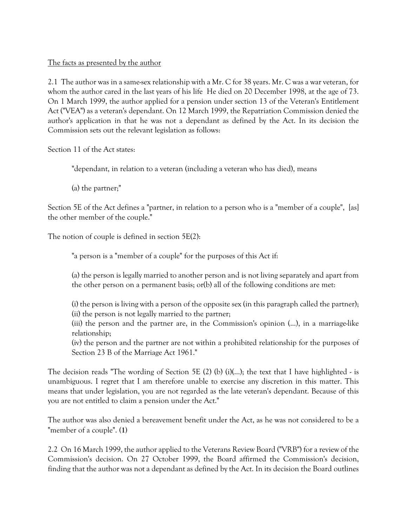## The facts as presented by the author

2.1 The author was in a same-sex relationship with a Mr. C for 38 years. Mr. C was a war veteran, for whom the author cared in the last years of his life He died on 20 December 1998, at the age of 73. On 1 March 1999, the author applied for a pension under section 13 of the Veteran's Entitlement Act ("VEA") as a veteran's dependant. On 12 March 1999, the Repatriation Commission denied the author's application in that he was not a dependant as defined by the Act. In its decision the Commission sets out the relevant legislation as follows:

Section 11 of the Act states:

"dependant, in relation to a veteran (including a veteran who has died), means

(a) the partner;"

Section 5E of the Act defines a "partner, in relation to a person who is a "member of a couple", [as] the other member of the couple."

The notion of couple is defined in section 5E(2):

"a person is a "member of a couple" for the purposes of this Act if:

(a) the person is legally married to another person and is not living separately and apart from the other person on a permanent basis; or(b) all of the following conditions are met:

(i) the person is living with a person of the opposite sex (in this paragraph called the partner); (ii) the person is not legally married to the partner;

(iii) the person and the partner are, in the Commission's opinion (...), in a marriage-like relationship;

(iv) the person and the partner are not within a prohibited relationship for the purposes of Section 23 B of the Marriage Act 1961."

The decision reads "The wording of Section 5E (2) (b) (i)(...); the text that I have highlighted - is unambiguous. I regret that I am therefore unable to exercise any discretion in this matter. This means that under legislation, you are not regarded as the late veteran's dependant. Because of this you are not entitled to claim a pension under the Act."

The author was also denied a bereavement benefit under the Act, as he was not considered to be a "member of a couple". (1)

2.2 On 16 March 1999, the author applied to the Veterans Review Board ("VRB") for a review of the Commission's decision. On 27 October 1999, the Board affirmed the Commission's decision, finding that the author was not a dependant as defined by the Act. In its decision the Board outlines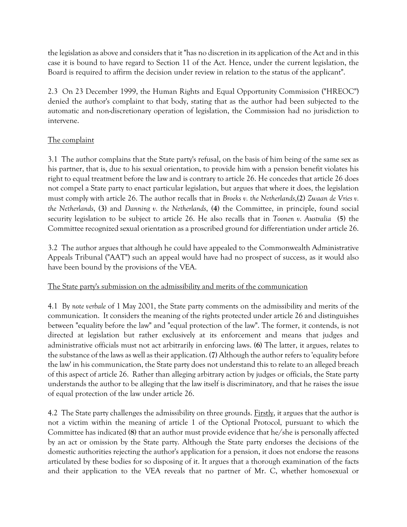the legislation as above and considers that it "has no discretion in its application of the Act and in this case it is bound to have regard to Section 11 of the Act. Hence, under the current legislation, the Board is required to affirm the decision under review in relation to the status of the applicant".

2.3 On 23 December 1999, the Human Rights and Equal Opportunity Commission ("HREOC") denied the author's complaint to that body, stating that as the author had been subjected to the automatic and non-discretionary operation of legislation, the Commission had no jurisdiction to intervene.

# The complaint

3.1 The author complains that the State party's refusal, on the basis of him being of the same sex as his partner, that is, due to his sexual orientation, to provide him with a pension benefit violates his right to equal treatment before the law and is contrary to article 26. He concedes that article 26 does not compel a State party to enact particular legislation, but argues that where it does, the legislation must comply with article 26. The author recalls that in Broeks v. the Netherlands,(2) Zwaan de Vries v. the Netherlands,  $(3)$  and Danning v. the Netherlands,  $(4)$  the Committee, in principle, found social security legislation to be subject to article 26. He also recalls that in Toonen v. Australia  $(5)$  the Committee recognized sexual orientation as a proscribed ground for differentiation under article 26.

3.2 The author argues that although he could have appealed to the Commonwealth Administrative Appeals Tribunal ("AAT") such an appeal would have had no prospect of success, as it would also have been bound by the provisions of the VEA.

# The State party's submission on the admissibility and merits of the communication

4.1 By note verbale of 1 May 2001, the State party comments on the admissibility and merits of the communication. It considers the meaning of the rights protected under article 26 and distinguishes between "equality before the law" and "equal protection of the law". The former, it contends, is not directed at legislation but rather exclusively at its enforcement and means that judges and administrative officials must not act arbitrarily in enforcing laws. (6) The latter, it argues, relates to the substance of the laws as well as their application. (7) Although the author refers to 'equality before the law' in his communication, the State party does not understand this to relate to an alleged breach of this aspect of article 26. Rather than alleging arbitrary action by judges or officials, the State party understands the author to be alleging that the law itself is discriminatory, and that he raises the issue of equal protection of the law under article 26.

4.2 The State party challenges the admissibility on three grounds. Firstly, it argues that the author is not a victim within the meaning of article 1 of the Optional Protocol, pursuant to which the Committee has indicated (8) that an author must provide evidence that he/she is personally affected by an act or omission by the State party. Although the State party endorses the decisions of the domestic authorities rejecting the author's application for a pension, it does not endorse the reasons articulated by these bodies for so disposing of it. It argues that a thorough examination of the facts and their application to the VEA reveals that no partner of Mr. C, whether homosexual or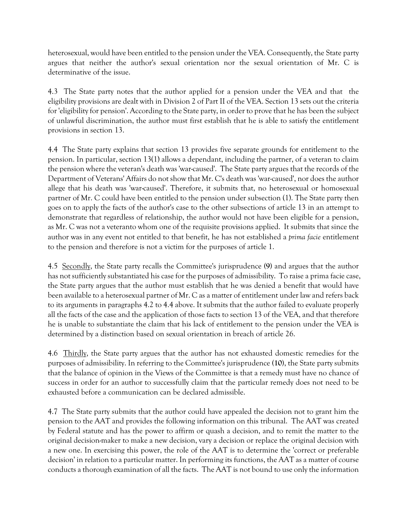heterosexual, would have been entitled to the pension under the VEA. Consequently, the State party argues that neither the author's sexual orientation nor the sexual orientation of Mr. C is determinative of the issue.

4.3 The State party notes that the author applied for a pension under the VEA and that the eligibility provisions are dealt with in Division 2 of Part II of the VEA. Section 13 sets out the criteria for 'eligibility for pension'. According to the State party, in order to prove that he has been the subject of unlawful discrimination, the author must first establish that he is able to satisfy the entitlement provisions in section 13.

4.4 The State party explains that section 13 provides five separate grounds for entitlement to the pension. In particular, section 13(1) allows a dependant, including the partner, of a veteran to claim the pension where the veteran's death was 'war-caused'. The State party argues that the records of the Department of Veterans' Affairs do not show that Mr. C's death was 'war-caused', nor does the author allege that his death was 'war-caused'. Therefore, it submits that, no heterosexual or homosexual partner of Mr. C could have been entitled to the pension under subsection (1). The State party then goes on to apply the facts of the author's case to the other subsections of article 13 in an attempt to demonstrate that regardless of relationship, the author would not have been eligible for a pension, as Mr. C was not a veteranto whom one of the requisite provisions applied. It submits that since the author was in any event not entitled to that benefit, he has not established a prima facie entitlement to the pension and therefore is not a victim for the purposes of article 1.

4.5 Secondly, the State party recalls the Committee's jurisprudence (9) and argues that the author has not sufficiently substantiated his case for the purposes of admissibility. To raise a prima facie case, the State party argues that the author must establish that he was denied a benefit that would have been available to a heterosexual partner of Mr. C as a matter of entitlement under law and refers back to its arguments in paragraphs 4.2 to 4.4 above. It submits that the author failed to evaluate properly all the facts of the case and the application of those facts to section 13 of the VEA, and that therefore he is unable to substantiate the claim that his lack of entitlement to the pension under the VEA is determined by a distinction based on sexual orientation in breach of article 26.

4.6 Thirdly, the State party argues that the author has not exhausted domestic remedies for the purposes of admissibility. In referring to the Committee's jurisprudence (10), the State party submits that the balance of opinion in the Views of the Committee is that a remedy must have no chance of success in order for an author to successfully claim that the particular remedy does not need to be exhausted before a communication can be declared admissible.

4.7 The State party submits that the author could have appealed the decision not to grant him the pension to the AAT and provides the following information on this tribunal. The AAT was created by Federal statute and has the power to affirm or quash a decision, and to remit the matter to the original decision-maker to make a new decision, vary a decision or replace the original decision with a new one. In exercising this power, the role of the AAT is to determine the 'correct or preferable decision' in relation to a particular matter. In performing its functions, the AAT as a matter of course conducts a thorough examination of all the facts. The AAT is not bound to use only the information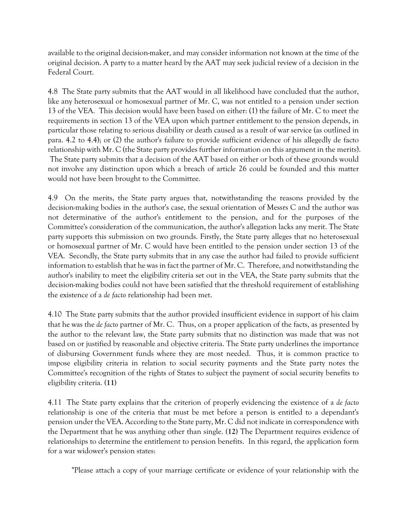available to the original decision-maker, and may consider information not known at the time of the original decision. A party to a matter heard by the AAT may seek judicial review of a decision in the Federal Court.

4.8 The State party submits that the AAT would in all likelihood have concluded that the author, like any heterosexual or homosexual partner of Mr. C, was not entitled to a pension under section 13 of the VEA. This decision would have been based on either: (1) the failure of Mr. C to meet the requirements in section 13 of the VEA upon which partner entitlement to the pension depends, in particular those relating to serious disability or death caused as a result of war service (as outlined in para. 4.2 to 4.4); or (2) the author's failure to provide sufficient evidence of his allegedly de facto relationship with Mr. C (the State party provides further information on this argument in the merits). The State party submits that a decision of the AAT based on either or both of these grounds would not involve any distinction upon which a breach of article 26 could be founded and this matter would not have been brought to the Committee.

4.9 On the merits, the State party argues that, notwithstanding the reasons provided by the decision-making bodies in the author's case, the sexual orientation of Messrs C and the author was not determinative of the author's entitlement to the pension, and for the purposes of the Committee's consideration of the communication, the author's allegation lacks any merit. The State party supports this submission on two grounds. Firstly, the State party alleges that no heterosexual or homosexual partner of Mr. C would have been entitled to the pension under section 13 of the VEA. Secondly, the State party submits that in any case the author had failed to provide sufficient information to establish that he was in fact the partner of Mr. C. Therefore, and notwithstanding the author's inability to meet the eligibility criteria set out in the VEA, the State party submits that the decision-making bodies could not have been satisfied that the threshold requirement of establishing the existence of a de facto relationship had been met.

4.10 The State party submits that the author provided insufficient evidence in support of his claim that he was the de facto partner of Mr. C. Thus, on a proper application of the facts, as presented by the author to the relevant law, the State party submits that no distinction was made that was not based on or justified by reasonable and objective criteria. The State party underlines the importance of disbursing Government funds where they are most needed. Thus, it is common practice to impose eligibility criteria in relation to social security payments and the State party notes the Committee's recognition of the rights of States to subject the payment of social security benefits to eligibility criteria. (11)

4.11 The State party explains that the criterion of properly evidencing the existence of a de facto relationship is one of the criteria that must be met before a person is entitled to a dependant's pension under the VEA. According to the State party, Mr. C did not indicate in correspondence with the Department that he was anything other than single. (12) The Department requires evidence of relationships to determine the entitlement to pension benefits. In this regard, the application form for a war widower's pension states:

"Please attach a copy of your marriage certificate or evidence of your relationship with the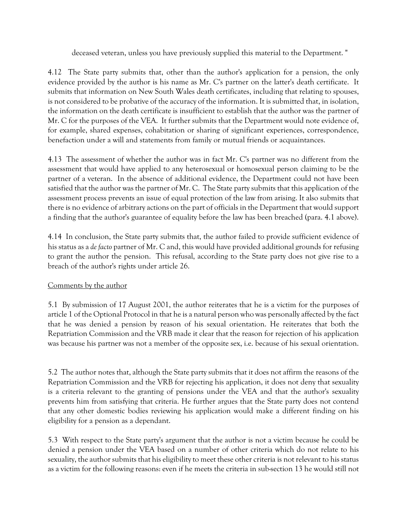deceased veteran, unless you have previously supplied this material to the Department. "

4.12 The State party submits that, other than the author's application for a pension, the only evidence provided by the author is his name as Mr. C's partner on the latter's death certificate. It submits that information on New South Wales death certificates, including that relating to spouses, is not considered to be probative of the accuracy of the information. It is submitted that, in isolation, the information on the death certificate is insufficient to establish that the author was the partner of Mr. C for the purposes of the VEA. It further submits that the Department would note evidence of, for example, shared expenses, cohabitation or sharing of significant experiences, correspondence, benefaction under a will and statements from family or mutual friends or acquaintances.

4.13 The assessment of whether the author was in fact Mr. C's partner was no different from the assessment that would have applied to any heterosexual or homosexual person claiming to be the partner of a veteran. In the absence of additional evidence, the Department could not have been satisfied that the author was the partner of Mr. C. The State party submits that this application of the assessment process prevents an issue of equal protection of the law from arising. It also submits that there is no evidence of arbitrary actions on the part of officials in the Department that would support a finding that the author's guarantee of equality before the law has been breached (para. 4.1 above).

4.14 In conclusion, the State party submits that, the author failed to provide sufficient evidence of his status as a de facto partner of Mr. C and, this would have provided additional grounds for refusing to grant the author the pension. This refusal, according to the State party does not give rise to a breach of the author's rights under article 26.

# Comments by the author

5.1 By submission of 17 August 2001, the author reiterates that he is a victim for the purposes of article 1 of the Optional Protocol in that he is a natural person who was personally affected by the fact that he was denied a pension by reason of his sexual orientation. He reiterates that both the Repatriation Commission and the VRB made it clear that the reason for rejection of his application was because his partner was not a member of the opposite sex, i.e. because of his sexual orientation.

5.2 The author notes that, although the State party submits that it does not affirm the reasons of the Repatriation Commission and the VRB for rejecting his application, it does not deny that sexuality is a criteria relevant to the granting of pensions under the VEA and that the author's sexuality prevents him from satisfying that criteria. He further argues that the State party does not contend that any other domestic bodies reviewing his application would make a different finding on his eligibility for a pension as a dependant.

5.3 With respect to the State party's argument that the author is not a victim because he could be denied a pension under the VEA based on a number of other criteria which do not relate to his sexuality, the author submits that his eligibility to meet these other criteria is not relevant to his status as a victim for the following reasons: even if he meets the criteria in sub-section 13 he would still not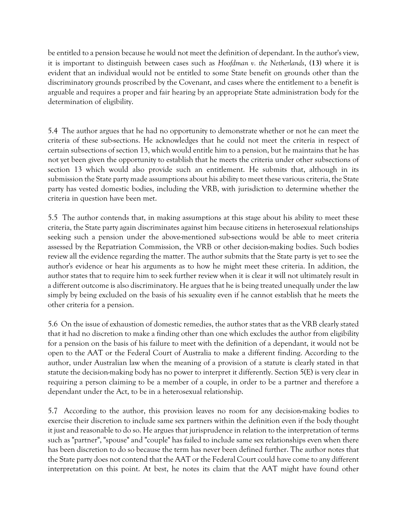be entitled to a pension because he would not meet the definition of dependant. In the author's view, it is important to distinguish between cases such as  $Hoofdman v$ . the Netherlands,  $(13)$  where it is evident that an individual would not be entitled to some State benefit on grounds other than the discriminatory grounds proscribed by the Covenant, and cases where the entitlement to a benefit is arguable and requires a proper and fair hearing by an appropriate State administration body for the determination of eligibility.

5.4 The author argues that he had no opportunity to demonstrate whether or not he can meet the criteria of these sub-sections. He acknowledges that he could not meet the criteria in respect of certain subsections of section 13, which would entitle him to a pension, but he maintains that he has not yet been given the opportunity to establish that he meets the criteria under other subsections of section 13 which would also provide such an entitlement. He submits that, although in its submission the State party made assumptions about his ability to meet these various criteria, the State party has vested domestic bodies, including the VRB, with jurisdiction to determine whether the criteria in question have been met.

5.5 The author contends that, in making assumptions at this stage about his ability to meet these criteria, the State party again discriminates against him because citizens in heterosexual relationships seeking such a pension under the above-mentioned sub-sections would be able to meet criteria assessed by the Repatriation Commission, the VRB or other decision-making bodies. Such bodies review all the evidence regarding the matter. The author submits that the State party is yet to see the author's evidence or hear his arguments as to how he might meet these criteria. In addition, the author states that to require him to seek further review when it is clear it will not ultimately result in a different outcome is also discriminatory. He argues that he is being treated unequally under the law simply by being excluded on the basis of his sexuality even if he cannot establish that he meets the other criteria for a pension.

5.6 On the issue of exhaustion of domestic remedies, the author states that as the VRB clearly stated that it had no discretion to make a finding other than one which excludes the author from eligibility for a pension on the basis of his failure to meet with the definition of a dependant, it would not be open to the AAT or the Federal Court of Australia to make a different finding. According to the author, under Australian law when the meaning of a provision of a statute is clearly stated in that statute the decision-making body has no power to interpret it differently. Section 5(E) is very clear in requiring a person claiming to be a member of a couple, in order to be a partner and therefore a dependant under the Act, to be in a heterosexual relationship.

5.7 According to the author, this provision leaves no room for any decision-making bodies to exercise their discretion to include same sex partners within the definition even if the body thought it just and reasonable to do so. He argues that jurisprudence in relation to the interpretation of terms such as "partner", "spouse" and "couple" has failed to include same sex relationships even when there has been discretion to do so because the term has never been defined further. The author notes that the State party does not contend that the AAT or the Federal Court could have come to any different interpretation on this point. At best, he notes its claim that the AAT might have found other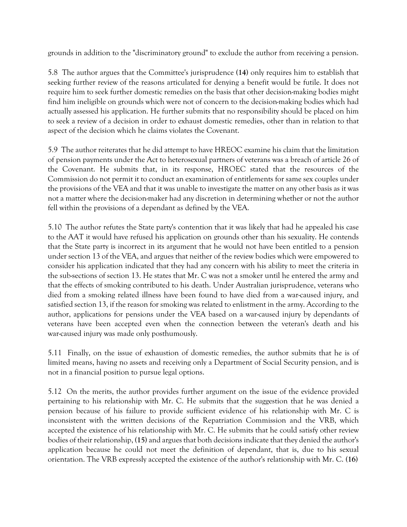grounds in addition to the "discriminatory ground" to exclude the author from receiving a pension.

5.8 The author argues that the Committee's jurisprudence (14) only requires him to establish that seeking further review of the reasons articulated for denying a benefit would be futile. It does not require him to seek further domestic remedies on the basis that other decision-making bodies might find him ineligible on grounds which were not of concern to the decision-making bodies which had actually assessed his application. He further submits that no responsibility should be placed on him to seek a review of a decision in order to exhaust domestic remedies, other than in relation to that aspect of the decision which he claims violates the Covenant.

5.9 The author reiterates that he did attempt to have HREOC examine his claim that the limitation of pension payments under the Act to heterosexual partners of veterans was a breach of article 26 of the Covenant. He submits that, in its response, HROEC stated that the resources of the Commission do not permit it to conduct an examination of entitlements for same sex couples under the provisions of the VEA and that it was unable to investigate the matter on any other basis as it was not a matter where the decision-maker had any discretion in determining whether or not the author fell within the provisions of a dependant as defined by the VEA.

5.10 The author refutes the State party's contention that it was likely that had he appealed his case to the AAT it would have refused his application on grounds other than his sexuality. He contends that the State party is incorrect in its argument that he would not have been entitled to a pension under section 13 of the VEA, and argues that neither of the review bodies which were empowered to consider his application indicated that they had any concern with his ability to meet the criteria in the sub-sections of section 13. He states that Mr. C was not a smoker until he entered the army and that the effects of smoking contributed to his death. Under Australian jurisprudence, veterans who died from a smoking related illness have been found to have died from a war-caused injury, and satisfied section 13, if the reason for smoking was related to enlistment in the army. According to the author, applications for pensions under the VEA based on a war-caused injury by dependants of veterans have been accepted even when the connection between the veteran's death and his war-caused injury was made only posthumously.

5.11 Finally, on the issue of exhaustion of domestic remedies, the author submits that he is of limited means, having no assets and receiving only a Department of Social Security pension, and is not in a financial position to pursue legal options.

5.12 On the merits, the author provides further argument on the issue of the evidence provided pertaining to his relationship with Mr. C. He submits that the suggestion that he was denied a pension because of his failure to provide sufficient evidence of his relationship with Mr. C is inconsistent with the written decisions of the Repatriation Commission and the VRB, which accepted the existence of his relationship with Mr. C. He submits that he could satisfy other review bodies of their relationship, (15) and argues that both decisions indicate that they denied the author's application because he could not meet the definition of dependant, that is, due to his sexual orientation. The VRB expressly accepted the existence of the author's relationship with Mr. C. (16)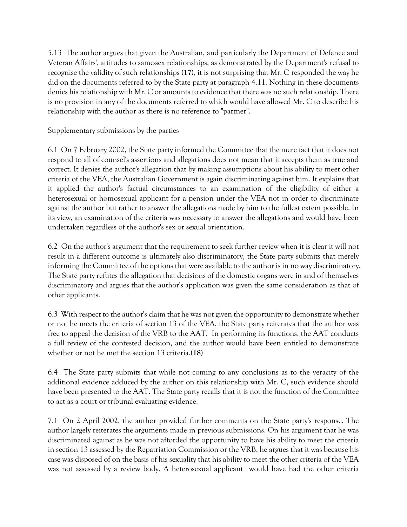5.13 The author argues that given the Australian, and particularly the Department of Defence and Veteran Affairs', attitudes to same-sex relationships, as demonstrated by the Department's refusal to recognise the validity of such relationships (17), it is not surprising that Mr. C responded the way he did on the documents referred to by the State party at paragraph 4.11. Nothing in these documents denies his relationship with Mr. C or amounts to evidence that there was no such relationship. There is no provision in any of the documents referred to which would have allowed Mr. C to describe his relationship with the author as there is no reference to "partner".

# Supplementary submissions by the parties

6.1 On 7 February 2002, the State party informed the Committee that the mere fact that it does not respond to all of counsel's assertions and allegations does not mean that it accepts them as true and correct. It denies the author's allegation that by making assumptions about his ability to meet other criteria of the VEA, the Australian Government is again discriminating against him. It explains that it applied the author's factual circumstances to an examination of the eligibility of either a heterosexual or homosexual applicant for a pension under the VEA not in order to discriminate against the author but rather to answer the allegations made by him to the fullest extent possible. In its view, an examination of the criteria was necessary to answer the allegations and would have been undertaken regardless of the author's sex or sexual orientation.

6.2 On the author's argument that the requirement to seek further review when it is clear it will not result in a different outcome is ultimately also discriminatory, the State party submits that merely informing the Committee of the options that were available to the author is in no way discriminatory. The State party refutes the allegation that decisions of the domestic organs were in and of themselves discriminatory and argues that the author's application was given the same consideration as that of other applicants.

6.3 With respect to the author's claim that he was not given the opportunity to demonstrate whether or not he meets the criteria of section 13 of the VEA, the State party reiterates that the author was free to appeal the decision of the VRB to the AAT. In performing its functions, the AAT conducts a full review of the contested decision, and the author would have been entitled to demonstrate whether or not he met the section 13 criteria.(18)

6.4 The State party submits that while not coming to any conclusions as to the veracity of the additional evidence adduced by the author on this relationship with Mr. C, such evidence should have been presented to the AAT. The State party recalls that it is not the function of the Committee to act as a court or tribunal evaluating evidence.

7.1 On 2 April 2002, the author provided further comments on the State party's response. The author largely reiterates the arguments made in previous submissions. On his argument that he was discriminated against as he was not afforded the opportunity to have his ability to meet the criteria in section 13 assessed by the Repatriation Commission or the VRB, he argues that it was because his case was disposed of on the basis of his sexuality that his ability to meet the other criteria of the VEA was not assessed by a review body. A heterosexual applicant would have had the other criteria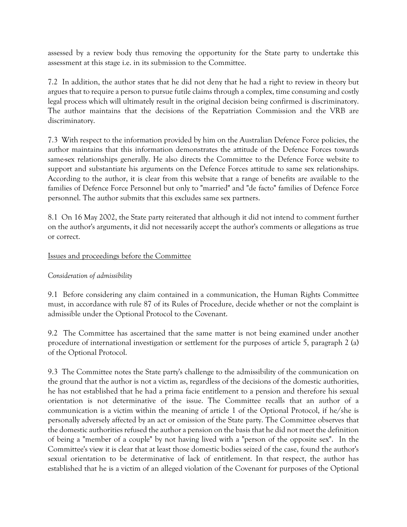assessed by a review body thus removing the opportunity for the State party to undertake this assessment at this stage i.e. in its submission to the Committee.

7.2 In addition, the author states that he did not deny that he had a right to review in theory but argues that to require a person to pursue futile claims through a complex, time consuming and costly legal process which will ultimately result in the original decision being confirmed is discriminatory. The author maintains that the decisions of the Repatriation Commission and the VRB are discriminatory.

7.3 With respect to the information provided by him on the Australian Defence Force policies, the author maintains that this information demonstrates the attitude of the Defence Forces towards same-sex relationships generally. He also directs the Committee to the Defence Force website to support and substantiate his arguments on the Defence Forces attitude to same sex relationships. According to the author, it is clear from this website that a range of benefits are available to the families of Defence Force Personnel but only to "married" and "de facto" families of Defence Force personnel. The author submits that this excludes same sex partners.

8.1 On 16 May 2002, the State party reiterated that although it did not intend to comment further on the author's arguments, it did not necessarily accept the author's comments or allegations as true or correct.

# Issues and proceedings before the Committee

# Consideration of admissibility

9.1 Before considering any claim contained in a communication, the Human Rights Committee must, in accordance with rule 87 of its Rules of Procedure, decide whether or not the complaint is admissible under the Optional Protocol to the Covenant.

9.2 The Committee has ascertained that the same matter is not being examined under another procedure of international investigation or settlement for the purposes of article 5, paragraph 2 (a) of the Optional Protocol.

9.3 The Committee notes the State party's challenge to the admissibility of the communication on the ground that the author is not a victim as, regardless of the decisions of the domestic authorities, he has not established that he had a prima facie entitlement to a pension and therefore his sexual orientation is not determinative of the issue. The Committee recalls that an author of a communication is a victim within the meaning of article 1 of the Optional Protocol, if he/she is personally adversely affected by an act or omission of the State party. The Committee observes that the domestic authorities refused the author a pension on the basis that he did not meet the definition of being a "member of a couple" by not having lived with a "person of the opposite sex". In the Committee's view it is clear that at least those domestic bodies seized of the case, found the author's sexual orientation to be determinative of lack of entitlement. In that respect, the author has established that he is a victim of an alleged violation of the Covenant for purposes of the Optional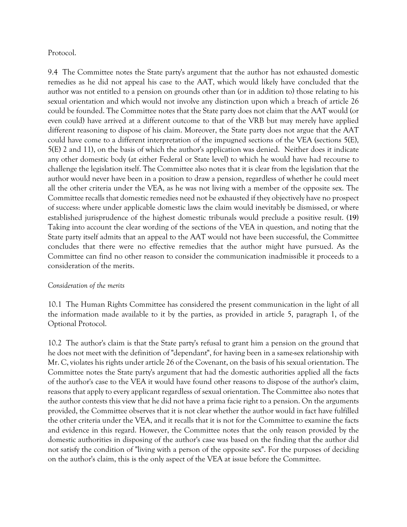Protocol.

9.4 The Committee notes the State party's argument that the author has not exhausted domestic remedies as he did not appeal his case to the AAT, which would likely have concluded that the author was not entitled to a pension on grounds other than (or in addition to) those relating to his sexual orientation and which would not involve any distinction upon which a breach of article 26 could be founded. The Committee notes that the State party does not claim that the AAT would (or even could) have arrived at a different outcome to that of the VRB but may merely have applied different reasoning to dispose of his claim. Moreover, the State party does not argue that the AAT could have come to a different interpretation of the impugned sections of the VEA (sections 5(E), 5(E) 2 and 11), on the basis of which the author's application was denied. Neither does it indicate any other domestic body (at either Federal or State level) to which he would have had recourse to challenge the legislation itself. The Committee also notes that it is clear from the legislation that the author would never have been in a position to draw a pension, regardless of whether he could meet all the other criteria under the VEA, as he was not living with a member of the opposite sex. The Committee recalls that domestic remedies need not be exhausted if they objectively have no prospect of success: where under applicable domestic laws the claim would inevitably be dismissed, or where established jurisprudence of the highest domestic tribunals would preclude a positive result. (19) Taking into account the clear wording of the sections of the VEA in question, and noting that the State party itself admits that an appeal to the AAT would not have been successful, the Committee concludes that there were no effective remedies that the author might have pursued. As the Committee can find no other reason to consider the communication inadmissible it proceeds to a consideration of the merits.

### Consideration of the merits

10.1 The Human Rights Committee has considered the present communication in the light of all the information made available to it by the parties, as provided in article 5, paragraph 1, of the Optional Protocol.

10.2 The author's claim is that the State party's refusal to grant him a pension on the ground that he does not meet with the definition of "dependant", for having been in a same-sex relationship with Mr. C, violates his rights under article 26 of the Covenant, on the basis of his sexual orientation. The Committee notes the State party's argument that had the domestic authorities applied all the facts of the author's case to the VEA it would have found other reasons to dispose of the author's claim, reasons that apply to every applicant regardless of sexual orientation. The Committee also notes that the author contests this view that he did not have a prima facie right to a pension. On the arguments provided, the Committee observes that it is not clear whether the author would in fact have fulfilled the other criteria under the VEA, and it recalls that it is not for the Committee to examine the facts and evidence in this regard. However, the Committee notes that the only reason provided by the domestic authorities in disposing of the author's case was based on the finding that the author did not satisfy the condition of "living with a person of the opposite sex". For the purposes of deciding on the author's claim, this is the only aspect of the VEA at issue before the Committee.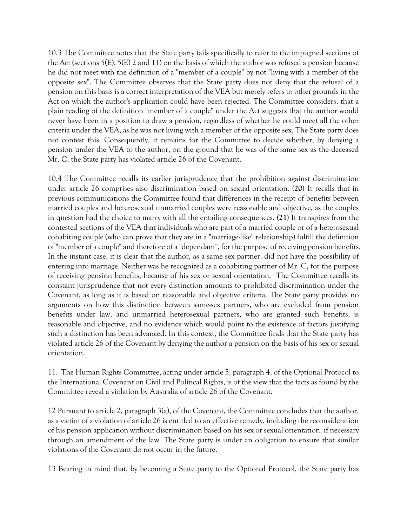10.3 The Committee notes that the State party fails specifically to refer to the impugned sections of the Act (sections 5(E), 5(E) 2 and 11) on the basis of which the author was refused a pension because he did not meet with the definition of a "member of a couple" by not "living with a member of the opposite sex". The Committee observes that the State party does not deny that the refusal of a pension on this basis is a correct interpretation of the VEA but merely refers to other grounds in the Act on which the author's application could have been rejected. The Committee considers, that a plain reading of the definition "member of a couple" under the Act suggests that the author would never have been in a position to draw a pension, regardless of whether he could meet all the other criteria under the VEA, as he was not living with a member of the opposite sex. The State party does not contest this. Consequently, it remains for the Committee to decide whether, by denying a pension under the VEA to the author, on the ground that he was of the same sex as the deceased Mr. C, the State party has violated article 26 of the Covenant.

10.4 The Committee recalls its earlier jurisprudence that the prohibition against discrimination under article 26 comprises also discrimination based on sexual orientation. (20) It recalls that in previous communications the Committee found that differences in the receipt of benefits between married couples and heterosexual unmarried couples were reasonable and objective, as the couples in question had the choice to marry with all the entailing consequences. (21) It transpires from the contested sections of the VEA that individuals who are part of a married couple or of a heterosexual cohabiting couple (who can prove that they are in a "marriage-like" relationship) fulfill the definition of "member of a couple" and therefore of a "dependant", for the purpose of receiving pension benefits. In the instant case, it is clear that the author, as a same sex partner, did not have the possibility of entering into marriage. Neither was he recognized as a cohabiting partner of Mr. C, for the purpose of receiving pension benefits, because of his sex or sexual orientation. The Committee recalls its constant jurisprudence that not every distinction amounts to prohibited discrimination under the Covenant, as long as it is based on reasonable and objective criteria. The State party provides no arguments on how this distinction between same-sex partners, who are excluded from pension benefits under law, and unmarried heterosexual partners, who are granted such benefits, is reasonable and objective, and no evidence which would point to the existence of factors justifying such a distinction has been advanced. In this context, the Committee finds that the State party has violated article 26 of the Covenant by denying the author a pension on the basis of his sex or sexual orientation.

11. The Human Rights Committee, acting under article 5, paragraph 4, of the Optional Protocol to the International Covenant on Civil and Political Rights, is of the view that the facts as found by the Committee reveal a violation by Australia of article 26 of the Covenant.

12 Pursuant to article 2, paragraph 3(a), of the Covenant, the Committee concludes that the author, as a victim of a violation of article 26 is entitled to an effective remedy, including the reconsideration of his pension application without discrimination based on his sex or sexual orientation, if necessary through an amendment of the law. The State party is under an obligation to ensure that similar violations of the Covenant do not occur in the future.

13 Bearing in mind that, by becoming a State party to the Optional Protocol, the State party has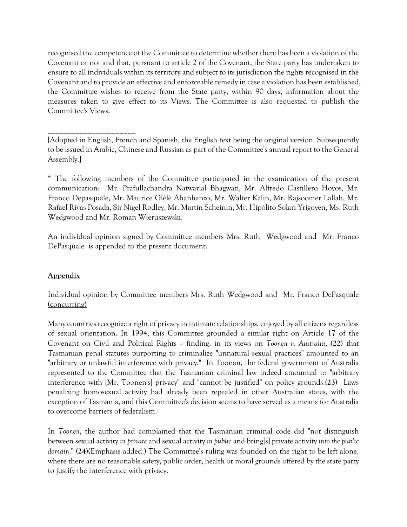recognised the competence of the Committee to determine whether there has been a violation of the Covenant or not and that, pursuant to article 2 of the Covenant, the State party has undertaken to ensure to all individuals within its territory and subject to its jurisdiction the rights recognised in the Covenant and to provide an effective and enforceable remedy in case a violation has been established, the Committee wishes to receive from the State party, within 90 days, information about the measures taken to give effect to its Views. The Committee is also requested to publish the Committee's Views.

\_\_\_\_\_\_\_\_\_\_\_\_\_\_\_\_\_\_\_\_\_\_ [Adopted in English, French and Spanish, the English text being the original version. Subsequently to be issued in Arabic, Chinese and Russian as part of the Committee's annual report to the General Assembly.]

\* The following members of the Committee participated in the examination of the present communication: Mr. Prafullachandra Natwarlal Bhagwati, Mr. Alfredo Castillero Hoyos, Mr. Franco Depasquale, Mr. Maurice Glèlè Ahanhanzo, Mr. Walter Kälin, Mr. Rajsoomer Lallah, Mr. Rafael Rivas Posada, Sir Nigel Rodley, Mr. Martin Scheinin, Mr. Hipólito Solari Yrigoyen, Ms. Ruth Wedgwood and Mr. Roman Wieruszewski.

An individual opinion signed by Committee members Mrs. Ruth Wedgwood and Mr. Franco DePasquale is appended to the present document.

# Appendix

# Individual opinion by Committee members Mrs. Ruth Wedgwood and Mr. Franco DePasquale (concurring)

Many countries recognize a right of privacy in intimate relationships, enjoyed by all citizens regardless of sexual orientation. In 1994, this Committee grounded a similar right on Article 17 of the Covenant on Civil and Political Rights  $\sim$  finding, in its views on Toonen v. Australia, (22) that Tasmanian penal statutes purporting to criminalize "unnatural sexual practices" amounted to an "arbitrary or unlawful interference with privacy." In Toonan, the federal government of Australia represented to the Committee that the Tasmanian criminal law indeed amounted to "arbitrary interference with [Mr. Toonen's] privacy" and "cannot be justified" on policy grounds.(23) Laws penalizing homosexual activity had already been repealed in other Australian states, with the exception of Tasmania, and this Committee's decision seems to have served as a means for Australia to overcome barriers of federalism.

In Toonen, the author had complained that the Tasmanian criminal code did "not distinguish between sexual activity in private and sexual activity in public and bring[s] private activity into the public domain." (24)(Emphasis added.) The Committee's ruling was founded on the right to be left alone, where there are no reasonable safety, public order, health or moral grounds offered by the state party to justify the interference with privacy.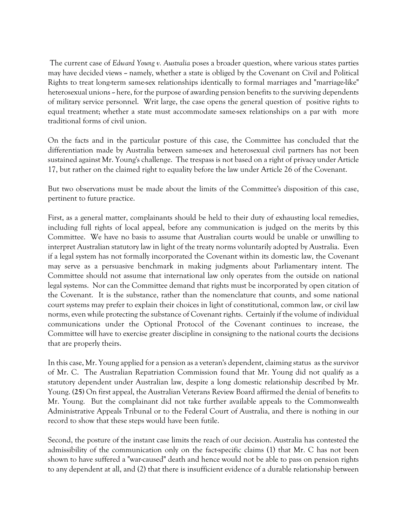The current case of Edward Young v. Australia poses a broader question, where various states parties may have decided views  $\sim$  namely, whether a state is obliged by the Covenant on Civil and Political Rights to treat long-term same-sex relationships identically to formal marriages and "marriage-like" heterosexual unions -- here, for the purpose of awarding pension benefits to the surviving dependents of military service personnel. Writ large, the case opens the general question of positive rights to equal treatment; whether a state must accommodate same-sex relationships on a par with more traditional forms of civil union.

On the facts and in the particular posture of this case, the Committee has concluded that the differentiation made by Australia between same-sex and heterosexual civil partners has not been sustained against Mr. Young's challenge. The trespass is not based on a right of privacy under Article 17, but rather on the claimed right to equality before the law under Article 26 of the Covenant.

But two observations must be made about the limits of the Committee's disposition of this case, pertinent to future practice.

First, as a general matter, complainants should be held to their duty of exhausting local remedies, including full rights of local appeal, before any communication is judged on the merits by this Committee. We have no basis to assume that Australian courts would be unable or unwilling to interpret Australian statutory law in light of the treaty norms voluntarily adopted by Australia. Even if a legal system has not formally incorporated the Covenant within its domestic law, the Covenant may serve as a persuasive benchmark in making judgments about Parliamentary intent. The Committee should not assume that international law only operates from the outside on national legal systems. Nor can the Committee demand that rights must be incorporated by open citation of the Covenant. It is the substance, rather than the nomenclature that counts, and some national court systems may prefer to explain their choices in light of constitutional, common law, or civil law norms, even while protecting the substance of Covenant rights. Certainly if the volume of individual communications under the Optional Protocol of the Covenant continues to increase, the Committee will have to exercise greater discipline in consigning to the national courts the decisions that are properly theirs.

In this case, Mr. Young applied for a pension as a veteran's dependent, claiming status as the survivor of Mr. C. The Australian Repatriation Commission found that Mr. Young did not qualify as a statutory dependent under Australian law, despite a long domestic relationship described by Mr. Young. (25) On first appeal, the Australian Veterans Review Board affirmed the denial of benefits to Mr. Young. But the complainant did not take further available appeals to the Commonwealth Administrative Appeals Tribunal or to the Federal Court of Australia, and there is nothing in our record to show that these steps would have been futile.

Second, the posture of the instant case limits the reach of our decision. Australia has contested the admissibility of the communication only on the fact-specific claims (1) that Mr. C has not been shown to have suffered a "war-caused" death and hence would not be able to pass on pension rights to any dependent at all, and (2) that there is insufficient evidence of a durable relationship between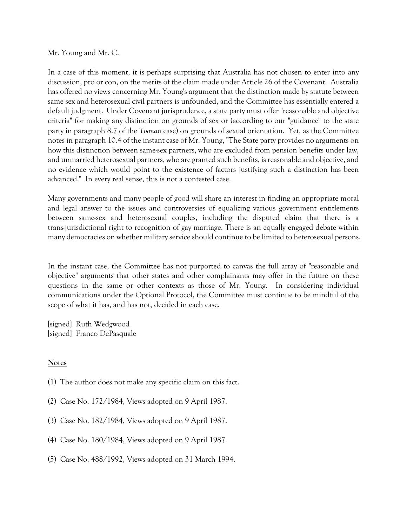Mr. Young and Mr. C.

In a case of this moment, it is perhaps surprising that Australia has not chosen to enter into any discussion, pro or con, on the merits of the claim made under Article 26 of the Covenant. Australia has offered no views concerning Mr. Young's argument that the distinction made by statute between same sex and heterosexual civil partners is unfounded, and the Committee has essentially entered a default judgment. Under Covenant jurisprudence, a state party must offer "reasonable and objective criteria" for making any distinction on grounds of sex or (according to our "guidance" to the state party in paragraph 8.7 of the Toonan case) on grounds of sexual orientation. Yet, as the Committee notes in paragraph 10.4 of the instant case of Mr. Young, "The State party provides no arguments on how this distinction between same-sex partners, who are excluded from pension benefits under law, and unmarried heterosexual partners, who are granted such benefits, is reasonable and objective, and no evidence which would point to the existence of factors justifying such a distinction has been advanced." In every real sense, this is not a contested case.

Many governments and many people of good will share an interest in finding an appropriate moral and legal answer to the issues and controversies of equalizing various government entitlements between same-sex and heterosexual couples, including the disputed claim that there is a trans-jurisdictional right to recognition of gay marriage. There is an equally engaged debate within many democracies on whether military service should continue to be limited to heterosexual persons.

In the instant case, the Committee has not purported to canvas the full array of "reasonable and objective" arguments that other states and other complainants may offer in the future on these questions in the same or other contexts as those of Mr. Young. In considering individual communications under the Optional Protocol, the Committee must continue to be mindful of the scope of what it has, and has not, decided in each case.

[signed] Ruth Wedgwood [signed] Franco DePasquale

# **Notes**

- (1) The author does not make any specific claim on this fact.
- (2) Case No. 172/1984, Views adopted on 9 April 1987.
- (3) Case No. 182/1984, Views adopted on 9 April 1987.
- (4) Case No. 180/1984, Views adopted on 9 April 1987.
- (5) Case No. 488/1992, Views adopted on 31 March 1994.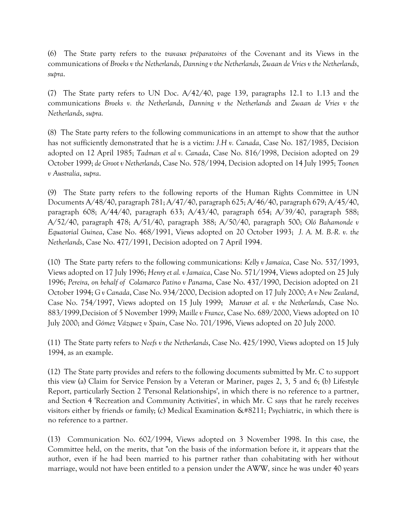(6) The State party refers to the travaux préparatoires of the Covenant and its Views in the communications of Broeks v the Netherlands, Danning v the Netherlands, Zwaan de Vries v the Netherlands, supra.

(7) The State party refers to UN Doc. A/42/40, page 139, paragraphs 12.1 to 1.13 and the communications Broeks v. the Netherlands, Danning v the Netherlands and Zwaan de Vries v the Netherlands, supra.

(8) The State party refers to the following communications in an attempt to show that the author has not sufficiently demonstrated that he is a victim: *J.H v. Canada*, Case No. 187/1985, Decision adopted on 12 April 1985; Tadman et al v. Canada, Case No. 816/1998, Decision adopted on 29 October 1999; de Groot v Netherlands, Case No. 578/1994, Decision adopted on 14 July 1995; Toonen v Australia, supra.

(9) The State party refers to the following reports of the Human Rights Committee in UN Documents A/48/40, paragraph 781; A/47/40, paragraph 625; A/46/40, paragraph 679; A/45/40, paragraph 608; A/44/40, paragraph 633; A/43/40, paragraph 654; A/39/40, paragraph 588; A/52/40, paragraph 478; A/51/40, paragraph 388; A/50/40, paragraph 500; Oló Bahamonde v Equatorial Guinea, Case No. 468/1991, Views adopted on 20 October 1993; J. A. M. B.-R. v. the Netherlands, Case No. 477/1991, Decision adopted on 7 April 1994.

(10) The State party refers to the following communications: Kelly v Jamaica, Case No. 537/1993, Views adopted on 17 July 1996; Henry et al. v Jamaica, Case No. 571/1994, Views adopted on 25 July 1996; Pereira, on behalf of Colamarco Patino v Panama, Case No. 437/1990, Decision adopted on 21 October 1994; G v Canada, Case No. 934/2000, Decision adopted on 17 July 2000; A v New Zealand, Case No. 754/1997, Views adopted on 15 July 1999; Mansur et al. v the Netherlands, Case No. 883/1999,Decision of 5 November 1999; Maille v France, Case No. 689/2000, Views adopted on 10 July 2000; and Gómez Vázquez v Spain, Case No. 701/1996, Views adopted on 20 July 2000.

(11) The State party refers to Neefs v the Netherlands, Case No.  $425/1990$ , Views adopted on 15 July 1994, as an example.

(12) The State party provides and refers to the following documents submitted by Mr. C to support this view (a) Claim for Service Pension by a Veteran or Mariner, pages 2, 3, 5 and 6; (b) Lifestyle Report, particularly Section 2 'Personal Relationships', in which there is no reference to a partner, and Section 4 'Recreation and Community Activities', in which Mr. C says that he rarely receives visitors either by friends or family; (c) Medical Examination  $\&\#8211$ ; Psychiatric, in which there is no reference to a partner.

(13) Communication No. 602/1994, Views adopted on 3 November 1998. In this case, the Committee held, on the merits, that "on the basis of the information before it, it appears that the author, even if he had been married to his partner rather than cohabitating with her without marriage, would not have been entitled to a pension under the AWW, since he was under 40 years